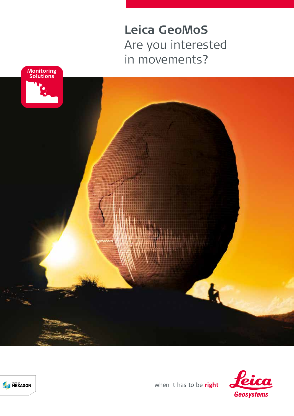# **Leica GeoMoS** Are you interested in movements?





- when it has to be right

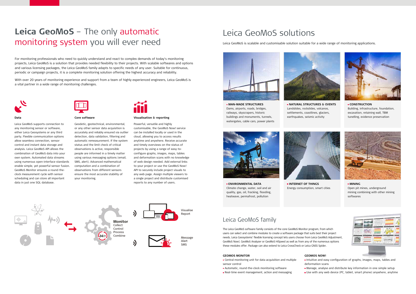## Leica GeoMoS family

The Leica GeoMoS software family consists of the core GeoMoS Monitor program, from which users can select and combine modules to create a software package that suits best their project needs. Leica Geosystems' flexible licensing concept lets users choose from Leica GeoMoS Adjustment, GeoMoS Now!, GeoMoS Analyzer or GeoMoS HiSpeed as well as from any of the numerous options these modules offer. Package can also extend to Leica CrossCheck or Leica GNSS Spider.

## **Data**

Leica GeoMoS supports connection to any monitoring sensor or software, either Leica Geosystems or any third party. Flexible communication options allow seamless connection, sensor control and instant data storage and analysis. Leica GeoMoS API allows the combination of GeoMoS data into your own system. Automated data streams using numerous open-interface standards enable simple, yet powerful sensor fusion. GeoMoS Monitor ensures a round-theclock measurement cycle with sensor scheduling and can store all important data in just one SQL database.



#### **Core software**

Geodetic, geotechnical, environmental, or any other sensor data acquisition is accurately and reliably ensured via outlier detection, data validation, filtering and automatic remeasurement. If the system status and the limit check of critical observations is active, responsible people are informed in a timely matter using various messaging options (email, SMS, alert). Advanced mathematical computation and a combination of observations from different sensors ensure the most accurate stability of your monitoring.



**NATURAL STRUCTURES & EVENTS** 



**CONSTRUCTION**  Building, infrastructure, foundation, excavation, retaining wall, TBM tunelling, evidence preservation

## **Visualisation & reporting**

Powerful, versatile and highly customisable, the GeoMoS Now! service can be installed locally or used in the cloud, allowing you to access results anytime and anywhere. Receive accurate and timely overviews on the status of projects by using a range of easy-toconfigure graphs, images, maps, tables and deformation scans with no knowledge of web design needed. Add external links to your project or use the GeoMoS Now! API to securely include project visuals to any web page. Assign multiple viewers to a single project and distribute customised reports to any number of users.



**MAN-MADE STRUCTURES**  Dams, airports, roads, bridges, railways, skyscrapers, historic buildings and monuments, tunnels, watergates, cable cars, power plants



**ENVIRONMENTAL DATA**  Climate change, water, soil and air quality, gas, oil, fracking, flooding, heatwave, permafrost, pollution

### **GEOMOS MONITOR**

- Central monitoring unit for data acquisition and multiple sensor control
- Automatic, round-the-clock monitoring software
- 
- Real-time event management, action and messaging



Landslides, rockslides, volcanos, settlements, coastlines, glaciers, earthquakes, seismic activity



**INTERNET OF THINGS** 

Energy consumption, smart cities



**MINING** Open pit mines, underground mining combining with other mining softwares





## **GEOMOS NOW!**

 Intuitive and easy configuration of graphs, images, maps, tables and deformation scans

 Manage, analyse and distribute key information in one simple setup Use with any web device (PC, tablet, smart phone) anywhere, anytime

# **Leica GeoMoS** – The only automatic monitoring system you will ever need

For monitoring professionals who need to quickly understand and react to complex demands of today's monitoring projects, Leica GeoMoS is a solution that provides needed flexibility to their projects. With scalable softwares and options and various licensing packages, the Leica GeoMoS family adapts to specific needs of any user. Suitable for continuous, periodic or campaign projects, it is a complete monitoring solution offering the highest accuracy and reliability.

With over 20 years of monitoring experience and support from a team of highly experienced engineers, Leica GeoMoS is a vital partner in a wide range of monitoring challenges.



## Leica GeoMoS solutions

Leica GeoMoS is scalable and customisable solution suitable for a wide range of monitoring applications.